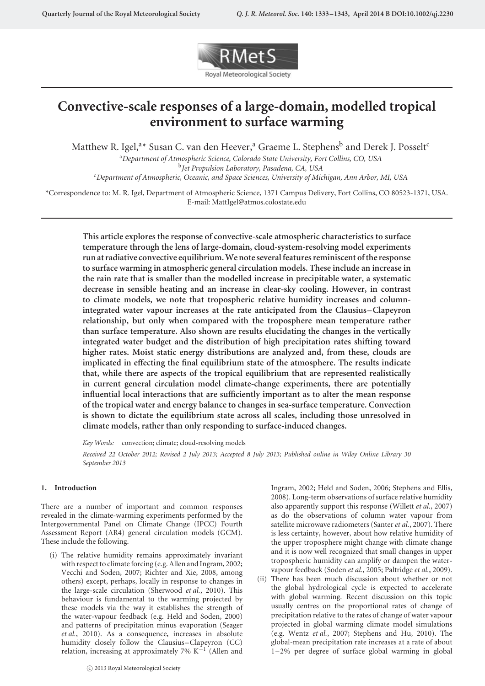

# **Convective-scale responses of a large-domain, modelled tropical environment to surface warming**

Matthew R. Igel,<sup>a</sup>\* Susan C. van den Heever,<sup>a</sup> Graeme L. Stephens<sup>b</sup> and Derek J. Posselt<sup>c</sup>

a *Department of Atmospheric Science, Colorado State University, Fort Collins, CO, USA* <sup>b</sup>*Jet Propulsion Laboratory, Pasadena, CA, USA*

c *Department of Atmospheric, Oceanic, and Space Sciences, University of Michigan, Ann Arbor, MI, USA*

\*Correspondence to: M. R. Igel, Department of Atmospheric Science, 1371 Campus Delivery, Fort Collins, CO 80523-1371, USA. E-mail: MattIgel@atmos.colostate.edu

**This article explores the response of convective-scale atmospheric characteristics to surface temperature through the lens of large-domain, cloud-system-resolving model experiments run at radiative convective equilibrium. We note several features reminiscent of the response to surface warming in atmospheric general circulation models. These include an increase in the rain rate that is smaller than the modelled increase in precipitable water, a systematic decrease in sensible heating and an increase in clear-sky cooling. However, in contrast to climate models, we note that tropospheric relative humidity increases and columnintegrated water vapour increases at the rate anticipated from the Clausius–Clapeyron relationship, but only when compared with the troposphere mean temperature rather than surface temperature. Also shown are results elucidating the changes in the vertically integrated water budget and the distribution of high precipitation rates shifting toward higher rates. Moist static energy distributions are analyzed and, from these, clouds are implicated in effecting the final equilibrium state of the atmosphere. The results indicate that, while there are aspects of the tropical equilibrium that are represented realistically in current general circulation model climate-change experiments, there are potentially influential local interactions that are sufficiently important as to alter the mean response of the tropical water and energy balance to changes in sea-surface temperature. Convection is shown to dictate the equilibrium state across all scales, including those unresolved in climate models, rather than only responding to surface-induced changes.**

*Key Words:* convection; climate; cloud-resolving models *Received 22 October 2012; Revised 2 July 2013; Accepted 8 July 2013; Published online in Wiley Online Library 30 September 2013*

# **1. Introduction**

There are a number of important and common responses revealed in the climate-warming experiments performed by the Intergovernmental Panel on Climate Change (IPCC) Fourth Assessment Report (AR4) general circulation models (GCM). These include the following.

(i) The relative humidity remains approximately invariant with respect to climate forcing (e.g. Allen and Ingram, 2002; Vecchi and Soden, 2007; Richter and Xie, 2008, among others) except, perhaps, locally in response to changes in the large-scale circulation (Sherwood *et al.*, 2010). This behaviour is fundamental to the warming projected by these models via the way it establishes the strength of the water-vapour feedback (e.g. Held and Soden, 2000) and patterns of precipitation minus evaporation (Seager *et al.*, 2010). As a consequence, increases in absolute humidity closely follow the Clausius–Clapeyron (CC) relation, increasing at approximately 7% K<sup> $-1$ </sup> (Allen and

Ingram, 2002; Held and Soden, 2006; Stephens and Ellis, 2008). Long-term observations of surface relative humidity also apparently support this response (Willett *et al.*, 2007) as do the observations of column water vapour from satellite microwave radiometers (Santer*et al.*, 2007). There is less certainty, however, about how relative humidity of the upper troposphere might change with climate change and it is now well recognized that small changes in upper tropospheric humidity can amplify or dampen the watervapour feedback (Soden *et al.*, 2005; Paltridge *et al.*, 2009).

(ii) There has been much discussion about whether or not the global hydrological cycle is expected to accelerate with global warming. Recent discussion on this topic usually centres on the proportional rates of change of precipitation relative to the rates of change of water vapour projected in global warming climate model simulations (e.g. Wentz *et al.*, 2007; Stephens and Hu, 2010). The global-mean precipitation rate increases at a rate of about 1–2% per degree of surface global warming in global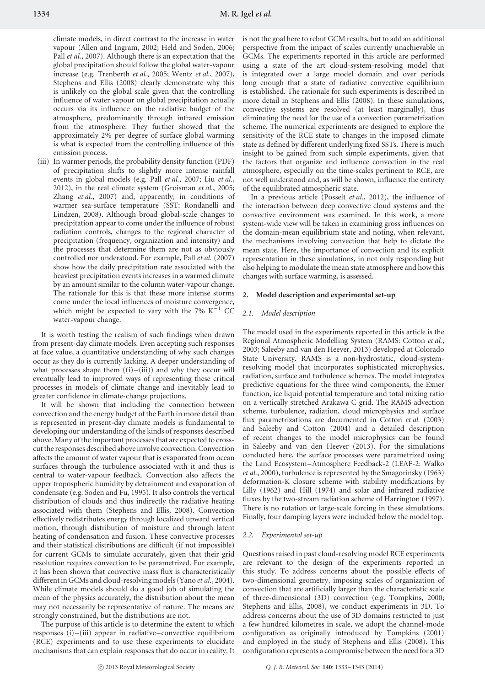climate models, in direct contrast to the increase in water vapour (Allen and Ingram, 2002; Held and Soden, 2006; Pall *et al.*, 2007). Although there is an expectation that the global precipitation should follow the global water-vapour increase (e.g. Trenberth *et al.*, 2005; Wentz *et al.*, 2007), Stephens and Ellis (2008) clearly demonstrate why this is unlikely on the global scale given that the controlling influence of water vapour on global precipitation actually occurs via its influence on the radiative budget of the atmosphere, predominantly through infrared emission from the atmosphere. They further showed that the approximately 2% per degree of surface global warming is what is expected from the controlling influence of this emission process.

(iii) In warmer periods, the probability density function (PDF) of precipitation shifts to slightly more intense rainfall events in global models (e.g. Pall *et al.*, 2007; Liu *et al.*, 2012), in the real climate system (Groisman *et al.*, 2005; Zhang *et al.*, 2007) and, apparently, in conditions of warmer sea-surface temperature (SST: Rondanelli and Lindzen, 2008). Although broad global-scale changes to precipitation appear to come under the influence of robust radiation controls, changes to the regional character of precipitation (frequency, organization and intensity) and the processes that determine them are not as obviously controlled nor understood. For example, Pall *et al.* (2007) show how the daily precipitation rate associated with the heaviest precipitation events increases in a warmed climate by an amount similar to the column water-vapour change. The rationale for this is that these more intense storms come under the local influences of moisture convergence, which might be expected to vary with the 7% K<sup> $-1$ </sup> CC water-vapour change.

It is worth testing the realism of such findings when drawn from present-day climate models. Even accepting such responses at face value, a quantitative understanding of why such changes occur as they do is currently lacking. A deeper understanding of what processes shape them  $((i) - (iii))$  and why they occur will eventually lead to improved ways of representing these critical processes in models of climate change and inevitably lead to greater confidence in climate-change projections.

It will be shown that including the connection between convection and the energy budget of the Earth in more detail than is represented in present-day climate models is fundamental to developing our understanding of the kinds of responses described above. Many of the important processes that are expected to crosscut the responses described above involve convection. Convection affects the amount of water vapour that is evaporated from ocean surfaces through the turbulence associated with it and thus is central to water-vapour feedback. Convection also affects the upper tropospheric humidity by detrainment and evaporation of condensate (e.g. Soden and Fu, 1995). It also controls the vertical distribution of clouds and thus indirectly the radiative heating associated with them (Stephens and Ellis, 2008). Convection effectively redistributes energy through localized upward vertical motion, through distribution of moisture and through latent heating of condensation and fusion. These convective processes and their statistical distributions are difficult (if not impossible) for current GCMs to simulate accurately, given that their grid resolution requires convection to be parametrized. For example, it has been shown that convective mass flux is characteristically different in GCMs and cloud-resolving models (Yano *et al.*, 2004). While climate models should do a good job of simulating the mean of the physics accurately, the distribution about the mean may not necessarily be representative of nature. The means are strongly constrained, but the distributions are not.

The purpose of this article is to determine the extent to which responses (i)–(iii) appear in radiative–convective equilibrium (RCE) experiments and to use these experiments to elucidate mechanisms that can explain responses that do occur in reality. It is not the goal here to rebut GCM results, but to add an additional perspective from the impact of scales currently unachievable in GCMs. The experiments reported in this article are performed using a state of the art cloud-system-resolving model that is integrated over a large model domain and over periods long enough that a state of radiative convective equilibrium is established. The rationale for such experiments is described in more detail in Stephens and Ellis (2008). In these simulations, convective systems are resolved (at least marginally), thus eliminating the need for the use of a convection parametrization scheme. The numerical experiments are designed to explore the sensitivity of the RCE state to changes in the imposed climate state as defined by different underlying fixed SSTs. There is much insight to be gained from such simple experiments, given that the factors that organize and influence convection in the real atmosphere, especially on the time-scales pertinent to RCE, are not well understood and, as will be shown, influence the entirety of the equilibrated atmospheric state.

In a previous article (Posselt *et al.*, 2012), the influence of the interaction between deep convective cloud systems and the convective environment was examined. In this work, a more system-wide view will be taken in examining gross influences on the domain-mean equilibrium state and noting, when relevant, the mechanisms involving convection that help to dictate the mean state. Here, the importance of convection and its explicit representation in these simulations, in not only responding but also helping to modulate the mean state atmosphere and how this changes with surface warming, is assessed.

#### **2. Model description and experimental set-up**

## *2.1. Model description*

The model used in the experiments reported in this article is the Regional Atmospheric Modelling System (RAMS: Cotton *et al.*, 2003; Saleeby and van den Heever, 2013) developed at Colorado State University. RAMS is a non-hydrostatic, cloud-systemresolving model that incorporates sophisticated microphysics, radiation, surface and turbulence schemes. The model integrates predictive equations for the three wind components, the Exner function, ice liquid potential temperature and total mixing ratio on a vertically stretched Arakawa C grid. The RAMS advection scheme, turbulence, radiation, cloud microphysics and surface flux parametrizations are documented in Cotton *et al.* (2003) and Saleeby and Cotton (2004) and a detailed description of recent changes to the model microphysics can be found in Saleeby and van den Heever (2013). For the simulations conducted here, the surface processes were parametrized using the Land Ecosystem–Atmosphere Feedback-2 (LEAF-2: Walko *et al.*, 2000), turbulence is represented by the Smagorinsky (1963) deformation-K closure scheme with stability modifications by Lilly (1962) and Hill (1974) and solar and infrared radiative fluxes by the two-stream radiation scheme of Harrington (1997). There is no rotation or large-scale forcing in these simulations. Finally, four damping layers were included below the model top.

# *2.2. Experimental set-up*

Questions raised in past cloud-resolving model RCE experiments are relevant to the design of the experiments reported in this study. To address concerns about the possible effects of two-dimensional geometry, imposing scales of organization of convection that are artificially larger than the characteristic scale of three-dimensional (3D) convection (e.g. Tompkins, 2000; Stephens and Ellis, 2008), we conduct experiments in 3D. To address concerns about the use of 3D domains restricted to just a few hundred kilometres in scale, we adopt the channel-mode configuration as originally introduced by Tompkins (2001) and employed in the study of Stephens and Ellis (2008). This configuration represents a compromise between the need for a 3D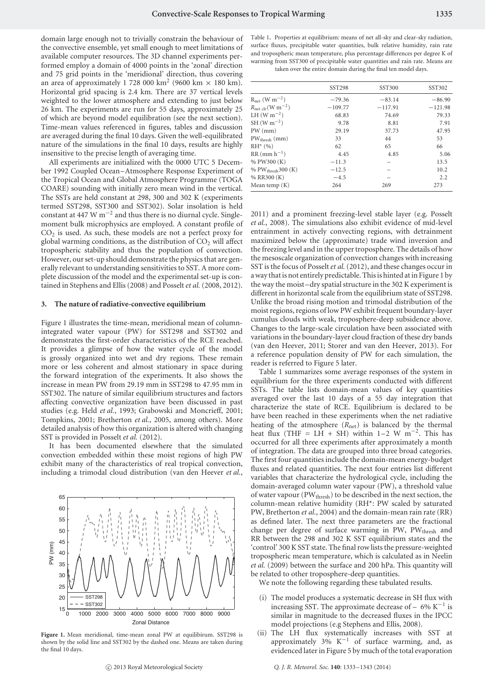domain large enough not to trivially constrain the behaviour of the convective ensemble, yet small enough to meet limitations of available computer resources. The 3D channel experiments performed employ a domain of 4000 points in the 'zonal' direction and 75 grid points in the 'meridional' direction, thus covering an area of approximately 1 728 000 km<sup>2</sup> (9600 km  $\times$  180 km). Horizontal grid spacing is 2.4 km. There are 37 vertical levels weighted to the lower atmosphere and extending to just below 26 km. The experiments are run for 55 days, approximately 25 of which are beyond model equilibration (see the next section). Time-mean values referenced in figures, tables and discussion are averaged during the final 10 days. Given the well-equilibrated nature of the simulations in the final 10 days, results are highly insensitive to the precise length of averaging time.

All experiments are initialized with the 0000 UTC 5 December 1992 Coupled Ocean–Atmosphere Response Experiment of the Tropical Ocean and Global Atmosphere Programme (TOGA COARE) sounding with initially zero mean wind in the vertical. The SSTs are held constant at 298, 300 and 302 K (experiments termed SST298, SST300 and SST302). Solar insolation is held constant at 447 W  $m^{-2}$  and thus there is no diurnal cycle. Singlemoment bulk microphysics are employed. A constant profile of  $CO<sub>2</sub>$  is used. As such, these models are not a perfect proxy for global warming conditions, as the distribution of  $CO<sub>2</sub>$  will affect tropospheric stability and thus the population of convection. However, our set-up should demonstrate the physics that are generally relevant to understanding sensitivities to SST. A more complete discussion of the model and the experimental set-up is contained in Stephens and Ellis (2008) and Posselt*et al.* (2008, 2012).

## **3. The nature of radiative-convective equilibrium**

Figure 1 illustrates the time-mean, meridional mean of columnintegrated water vapour (PW) for SST298 and SST302 and demonstrates the first-order characteristics of the RCE reached. It provides a glimpse of how the water cycle of the model is grossly organized into wet and dry regions. These remain more or less coherent and almost stationary in space during the forward integration of the experiments. It also shows the increase in mean PW from 29.19 mm in SST298 to 47.95 mm in SST302. The nature of similar equilibrium structures and factors affecting convective organization have been discussed in past studies (e.g. Held *et al.*, 1993; Grabowski and Moncrieff, 2001; Tompkins, 2001; Bretherton *et al.*, 2005, among others). More detailed analysis of how this organization is altered with changing SST is provided in Posselt *et al.* (2012).

It has been documented elsewhere that the simulated convection embedded within these moist regions of high PW exhibit many of the characteristics of real tropical convection, including a trimodal cloud distribution (van den Heever *et al.*,



**Figure 1.** Mean meridional, time-mean zonal PW at equilibirum. SST298 is shown by the solid line and SST302 by the dashed one. Means are taken during the final 10 days.

Table 1. Properties at equilibrium: means of net all-sky and clear-sky radiation, surface fluxes, precipitable water quantities, bulk relative humidity, rain rate and tropospheric mean temperature, plus percentage differences per degree K of warming from SST300 of precipitable water quantities and rain rate. Means are taken over the entire domain during the final ten model days.

|                                  | <b>SST298</b> | <b>SST300</b> | SST302    |
|----------------------------------|---------------|---------------|-----------|
| $R_{net}$ (W m <sup>-2</sup> )   | $-79.36$      | $-83.14$      | $-86.90$  |
| $R_{\text{net clr}}(W m^{-2})$   | $-109.77$     | $-117.91$     | $-121.98$ |
| LH (W $m^{-2}$ )                 | 68.83         | 74.69         | 79.33     |
| $SH(W m^{-2})$                   | 9.78          | 8.81          | 7.91      |
| $PW$ (mm)                        | 29.19         | 37.73         | 47.95     |
| $PWthresh$ (mm)                  | 33            | 44            | 53        |
| $RH^*(\%)$                       | 62            | 65            | 66        |
| $RR$ (mm $h^{-1}$ )              | 4.45          | 4.85          | 5.06      |
| % PW300 (K)                      | $-11.3$       |               | 13.5      |
| % PW <sub>thresh</sub> 300 $(K)$ | $-12.5$       |               | 10.2      |
| % RR300 (K)                      | $-4.5$        |               | 2.2       |
| Mean temp $(K)$                  | 264           | 269           | 273       |
|                                  |               |               |           |

2011) and a prominent freezing-level stable layer (e.g. Posselt *et al.*, 2008). The simulations also exhibit evidence of mid-level entrainment in actively convecting regions, with detrainment maximized below the (approximate) trade wind inversion and the freezing level and in the upper troposphere. The details of how the mesoscale organization of convection changes with increasing SST is the focus of Posselt*et al.*(2012), and these changes occur in a way that is not entirely predictable. This is hinted at in Figure 1 by the way the moist–dry spatial structure in the 302 K experiment is different in horizontal scale from the equilibrium state of SST298. Unlike the broad rising motion and trimodal distribution of the moist regions, regions of low PW exhibit frequent boundary-layer cumulus clouds with weak, troposphere-deep subsidence above. Changes to the large-scale circulation have been associated with variations in the boundary-layer cloud fraction of these dry bands (van den Heever, 2011; Storer and van den Heever, 2013). For a reference population density of PW for each simulation, the reader is referred to Figure 5 later.

Table 1 summarizes some average responses of the system in equilibrium for the three experiments conducted with different SSTs. The table lists domain-mean values of key quantities averaged over the last 10 days of a 55 day integration that characterize the state of RCE. Equilibrium is declared to be have been reached in these experiments when the net radiative heating of the atmosphere  $(R_{net})$  is balanced by the thermal heat flux (THF = LH + SH) within 1–2 W m<sup>-2</sup>. This has occurred for all three experiments after approximately a month of integration. The data are grouped into three broad categories. The first four quantities include the domain-mean energy-budget fluxes and related quantities. The next four entries list different variables that characterize the hydrological cycle, including the domain-averaged column water vapour (PW), a threshold value of water vapour (PW<sub>thresh</sub>) to be described in the next section, the column-mean relative humidity (RH\*: PW scaled by saturated PW, Bretherton *et al.*, 2004) and the domain-mean rain rate (RR) as defined later. The next three parameters are the fractional change per degree of surface warming in PW, PWthresh and RR between the 298 and 302 K SST equilibrium states and the 'control' 300 K SST state. The final row lists the pressure-weighted tropospheric mean temperature, which is calculated as in Neelin *et al.* (2009) between the surface and 200 hPa. This quantity will be related to other troposphere-deep quantities.

We note the following regarding these tabulated results.

- (i) The model produces a systematic decrease in SH flux with increasing SST. The approximate decrease of –  $6\%$  K<sup>-1</sup> is similar in magnitude to the decreased fluxes in the IPCC model projections (e.g Stephens and Ellis, 2008).
- (ii) The LH flux systematically increases with SST at approximately 3%  $K^{-1}$  of surface warming, and, as evidenced later in Figure 5 by much of the total evaporation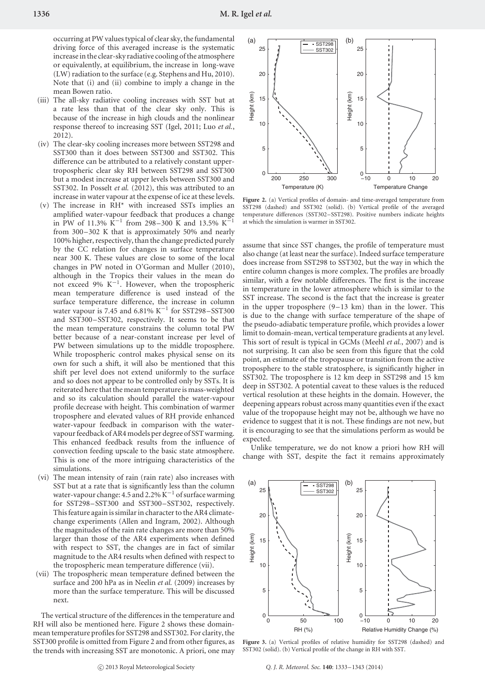occurring at PW values typical of clear sky, the fundamental driving force of this averaged increase is the systematic increase in the clear-sky radiative cooling of the atmosphere or equivalently, at equilibrium, the increase in long-wave (LW) radiation to the surface (e.g. Stephens and Hu, 2010). Note that (i) and (ii) combine to imply a change in the mean Bowen ratio.

- (iii) The all-sky radiative cooling increases with SST but at a rate less than that of the clear sky only. This is because of the increase in high clouds and the nonlinear response thereof to increasing SST (Igel, 2011; Luo *et al.*, 2012).
- (iv) The clear-sky cooling increases more between SST298 and SST300 than it does between SST300 and SST302. This difference can be attributed to a relatively constant uppertropospheric clear sky RH between SST298 and SST300 but a modest increase at upper levels between SST300 and SST302. In Posselt *et al.* (2012), this was attributed to an increase in water vapour at the expense of ice at these levels.
- (v) The increase in RH\* with increased SSTs implies an amplified water-vapour feedback that produces a change in PW of 11.3% K<sup>-1</sup> from 298–300 K and 13.5% K<sup>-1</sup> from 300–302 K that is approximately 50% and nearly 100% higher, respectively, than the change predicted purely by the CC relation for changes in surface temperature near 300 K. These values are close to some of the local changes in PW noted in O'Gorman and Muller (2010), although in the Tropics their values in the mean do not exceed 9% K−1. However, when the tropospheric mean temperature difference is used instead of the surface temperature difference, the increase in column water vapour is 7.45 and 6.81% K<sup>-1</sup> for SST298-SST300 and SST300–SST302, respectively. It seems to be that the mean temperature constrains the column total PW better because of a near-constant increase per level of PW between simulations up to the middle troposphere. While tropospheric control makes physical sense on its own for such a shift, it will also be mentioned that this shift per level does not extend uniformly to the surface and so does not appear to be controlled only by SSTs. It is reiterated here that the mean temperature is mass-weighted and so its calculation should parallel the water-vapour profile decrease with height. This combination of warmer troposphere and elevated values of RH provide enhanced water-vapour feedback in comparison with the watervapour feedback of AR4 models per degree of SST warming. This enhanced feedback results from the influence of convection feeding upscale to the basic state atmosphere. This is one of the more intriguing characteristics of the simulations.
- (vi) The mean intensity of rain (rain rate) also increases with SST but at a rate that is significantly less than the column water-vapour change: 4.5 and 2.2% K<sup>-1</sup> of surface warming for SST298–SST300 and SST300–SST302, respectively. This feature again is similar in character to the AR4 climatechange experiments (Allen and Ingram, 2002). Although the magnitudes of the rain rate changes are more than 50% larger than those of the AR4 experiments when defined with respect to SST, the changes are in fact of similar magnitude to the AR4 results when defined with respect to the tropospheric mean temperature difference (vii).
- (vii) The tropospheric mean temperature defined between the surface and 200 hPa as in Neelin *et al.* (2009) increases by more than the surface temperature. This will be discussed next.

The vertical structure of the differences in the temperature and RH will also be mentioned here. Figure 2 shows these domainmean temperature profiles for SST298 and SST302. For clarity, the SST300 profile is omitted from Figure 2 and from other figures, as the trends with increasing SST are monotonic. A priori, one may



**Figure 2.** (a) Vertical profiles of domain- and time-averaged temperature from SST298 (dashed) and SST302 (solid). (b) Vertical profile of the averaged temperature differences (SST302–SST298). Positive numbers indicate heights at which the simulation is warmer in SST302.

assume that since SST changes, the profile of temperature must also change (at least near the surface). Indeed surface temperature does increase from SST298 to SST302, but the way in which the entire column changes is more complex. The profiles are broadly similar, with a few notable differences. The first is the increase in temperature in the lower atmosphere which is similar to the SST increase. The second is the fact that the increase is greater in the upper troposphere  $(9-13 \text{ km})$  than in the lower. This is due to the change with surface temperature of the shape of the pseudo-adiabatic temperature profile, which provides a lower limit to domain-mean, vertical temperature gradients at any level. This sort of result is typical in GCMs (Meehl *et al.*, 2007) and is not surprising. It can also be seen from this figure that the cold point, an estimate of the tropopause or transition from the active troposphere to the stable stratosphere, is significantly higher in SST302. The troposphere is 12 km deep in SST298 and 15 km deep in SST302. A potential caveat to these values is the reduced vertical resolution at these heights in the domain. However, the deepening appears robust across many quantities even if the exact value of the tropopause height may not be, although we have no evidence to suggest that it is not. These findings are not new, but it is encouraging to see that the simulations perform as would be expected.

Unlike temperature, we do not know a priori how RH will change with SST, despite the fact it remains approximately



**Figure 3.** (a) Vertical profiles of relative humidity for SST298 (dashed) and SST302 (solid). (b) Vertical profile of the change in RH with SST.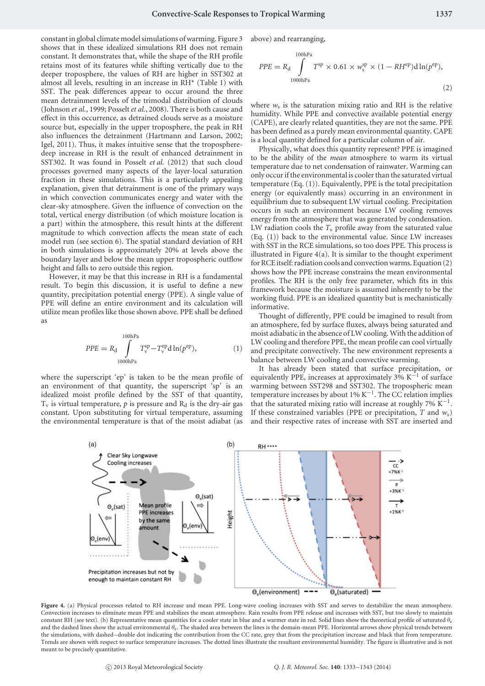constant in global climate model simulations of warming. Figure 3 shows that in these idealized simulations RH does not remain constant. It demonstrates that, while the shape of the RH profile retains most of its features while shifting vertically due to the deeper troposphere, the values of RH are higher in SST302 at almost all levels, resulting in an increase in RH\* (Table 1) with SST. The peak differences appear to occur around the three mean detrainment levels of the trimodal distribution of clouds (Johnson *et al.*, 1999; Posselt *et al.*, 2008). There is both cause and effect in this occurrence, as detrained clouds serve as a moisture source but, especially in the upper troposphere, the peak in RH also influences the detrainment (Hartmann and Larson, 2002; Igel, 2011). Thus, it makes intuitive sense that the tropospheredeep increase in RH is the result of enhanced detrainment in SST302. It was found in Posselt *et al.* (2012) that such cloud processes governed many aspects of the layer-local saturation fraction in these simulations. This is a particularly appealing explanation, given that detrainment is one of the primary ways in which convection communicates energy and water with the clear-sky atmosphere. Given the influence of convection on the total, vertical energy distribution (of which moisture location is a part) within the atmosphere, this result hints at the different magnitude to which convection affects the mean state of each model run (see section 6). The spatial standard deviation of RH in both simulations is approximately 20% at levels above the boundary layer and below the mean upper tropospheric outflow height and falls to zero outside this region.

However, it may be that this increase in RH is a fundamental result. To begin this discussion, it is useful to define a new quantity, precipitation potential energy (PPE). A single value of PPE will define an entire environment and its calculation will utilize mean profiles like those shown above. PPE shall be defined as

$$
PPE = R_d \int_{1000 \text{hPa}}^{100 \text{hPa}} T_v^{\text{sp}} - T_v^{\text{ep}} \, \text{d} \ln(p^{\text{ep}}), \tag{1}
$$

where the superscript 'ep' is taken to be the mean profile of an environment of that quantity, the superscript 'sp' is an idealized moist profile defined by the SST of that quantity,  $T_v$  is virtual temperature,  $p$  is pressure and  $R_d$  is the dry-air gas constant. Upon substituting for virtual temperature, assuming the environmental temperature is that of the moist adiabat (as

above) and rearranging,

$$
PPE = R_{\rm d} \int_{1000 \rm{hPa}}^{100 \rm{hPa}} T^{\rm sp} \times 0.61 \times w_{\rm s}^{\rm sp} \times (1 - RH^{\rm ep}) \rm d \ln(p^{\rm ep}), \tag{2}
$$

where  $w_s$  is the saturation mixing ratio and RH is the relative humidity. While PPE and convective available potential energy (CAPE), are clearly related quantities, they are not the same. PPE has been defined as a purely mean environmental quantity. CAPE is a local quantity defined for a particular column of air.

Physically, what does this quantity represent? PPE is imagined to be the ability of the *mean* atmosphere to warm its virtual temperature due to net condensation of rainwater. Warming can only occur if the environmental is cooler than the saturated virtual temperature (Eq. (1)). Equivalently, PPE is the total precipitation energy (or equivalently mass) occurring in an environment in equilibrium due to subsequent LW virtual cooling. Precipitation occurs in such an environment because LW cooling removes energy from the atmosphere that was generated by condensation. LW radiation cools the  $T_v$  profile away from the saturated value (Eq. (1)) back to the environmental value. Since LW increases with SST in the RCE simulations, so too does PPE. This process is illustrated in Figure 4(a). It is similar to the thought experiment for RCE itself: radiation cools and convection warms. Equation (2) shows how the PPE increase constrains the mean environmental profiles. The RH is the only free parameter, which fits in this framework because the moisture is assumed inherently to be the working fluid. PPE is an idealized quantity but is mechanistically informative.

Thought of differently, PPE could be imagined to result from an atmosphere, fed by surface fluxes, always being saturated and moist adiabatic in the absence of LW cooling. With the addition of LW cooling and therefore PPE, the mean profile can cool virtually and precipitate convectively. The new environment represents a balance between LW cooling and convective warming.

It has already been stated that surface precipitation, or equivalently PPE, increases at approximately  $3\%$  K<sup>-1</sup> of surface warming between SST298 and SST302. The tropospheric mean temperature increases by about 1% K<sup> $-1$ </sup>. The CC relation implies that the saturated mixing ratio will increase at roughly 7%  $K^{-1}$ . If these constrained variables (PPE or precipitation,  $T$  and  $w_s$ ) and their respective rates of increase with SST are inserted and



**Figure 4.** (a) Physical processes related to RH increase and mean PPE. Long-wave cooling increases with SST and serves to destabilize the mean atmosphere. Convection increases to eliminate mean PPE and stabilizes the mean atmosphere. Rain results from PPE release and increases with SST, but too slowly to maintain constant RH (see text). (b) Representative mean quantities for a cooler state in blue and a warmer state in red. Solid lines show the theoretical profile of saturated *θ*<sup>e</sup> and the dashed lines show the actual environmental  $θ_$ . The shaded area between the lines is the domain-mean PPE. Horizontal arrows show physical trends between the simulations, with dashed–double dot indicating the contribution from the CC rate, grey that from the precipitation increase and black that from temperature. Trends are shown with respect to surface temperature increases. The dotted lines illustrate the resultant environmental humidity. The figure is illustrative and is not meant to be precisely quantitative.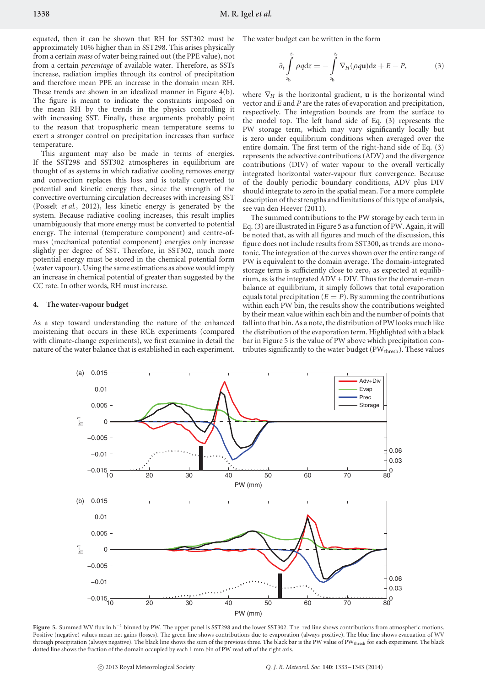equated, then it can be shown that RH for SST302 must be approximately 10% higher than in SST298. This arises physically from a certain *mass* of water being rained out (the PPE value), not from a certain *percentage* of available water. Therefore, as SSTs increase, radiation implies through its control of precipitation and therefore mean PPE an increase in the domain mean RH. These trends are shown in an idealized manner in Figure 4(b). The figure is meant to indicate the constraints imposed on the mean RH by the trends in the physics controlling it with increasing SST. Finally, these arguments probably point to the reason that tropospheric mean temperature seems to exert a stronger control on precipitation increases than surface temperature.

This argument may also be made in terms of energies. If the SST298 and SST302 atmospheres in equilibrium are thought of as systems in which radiative cooling removes energy and convection replaces this loss and is totally converted to potential and kinetic energy then, since the strength of the convective overturning circulation decreases with increasing SST (Posselt *et al.*, 2012), less kinetic energy is generated by the system. Because radiative cooling increases, this result implies unambiguously that more energy must be converted to potential energy. The internal (temperature component) and centre-ofmass (mechanical potential component) energies only increase slightly per degree of SST. Therefore, in SST302, much more potential energy must be stored in the chemical potential form (water vapour). Using the same estimations as above would imply an increase in chemical potential of greater than suggested by the CC rate. In other words, RH must increase.

# **4. The water-vapour budget**

As a step toward understanding the nature of the enhanced moistening that occurs in these RCE experiments (compared with climate-change experiments), we first examine in detail the nature of the water balance that is established in each experiment.

The water budget can be written in the form

$$
\partial_t \int_{z_b}^{z_t} \rho q \mathrm{d}z = - \int_{z_b}^{z_t} \nabla_H (\rho q \mathbf{u}) \mathrm{d}z + E - P, \tag{3}
$$

where  $\nabla_H$  is the horizontal gradient, **u** is the horizontal wind vector and *E* and *P* are the rates of evaporation and precipitation, respectively. The integration bounds are from the surface to the model top. The left hand side of Eq. (3) represents the PW storage term, which may vary significantly locally but is zero under equilibrium conditions when averaged over the entire domain. The first term of the right-hand side of Eq. (3) represents the advective contributions (ADV) and the divergence contributions (DIV) of water vapour to the overall vertically integrated horizontal water-vapour flux convergence. Because of the doubly periodic boundary conditions, ADV plus DIV should integrate to zero in the spatial mean. For a more complete description of the strengths and limitations of this type of analysis, see van den Heever (2011).

The summed contributions to the PW storage by each term in Eq. (3) are illustrated in Figure 5 as a function of PW. Again, it will be noted that, as with all figures and much of the discussion, this figure does not include results from SST300, as trends are monotonic. The integration of the curves shown over the entire range of PW is equivalent to the domain average. The domain-integrated storage term is sufficiently close to zero, as expected at equilibrium, as is the integrated ADV + DIV. Thus for the domain-mean balance at equilibrium, it simply follows that total evaporation equals total precipitation  $(E = P)$ . By summing the contributions within each PW bin, the results show the contributions weighted by their mean value within each bin and the number of points that fall into that bin. As a note, the distribution of PW looks much like the distribution of the evaporation term. Highlighted with a black bar in Figure 5 is the value of PW above which precipitation contributes significantly to the water budget ( $PW<sub>thresh</sub>$ ). These values



**Figure 5.** Summed WV flux in h−<sup>1</sup> binned by PW. The upper panel is SST298 and the lower SST302. The red line shows contributions from atmospheric motions. Positive (negative) values mean net gains (losses). The green line shows contributions due to evaporation (always positive). The blue line shows evacuation of WV through precipitation (always negative). The black line shows the sum of the previous three. The black bar is the PW value of PW<sub>thresh</sub> for each experiment. The black dotted line shows the fraction of the domain occupied by each 1 mm bin of PW read off of the right axis.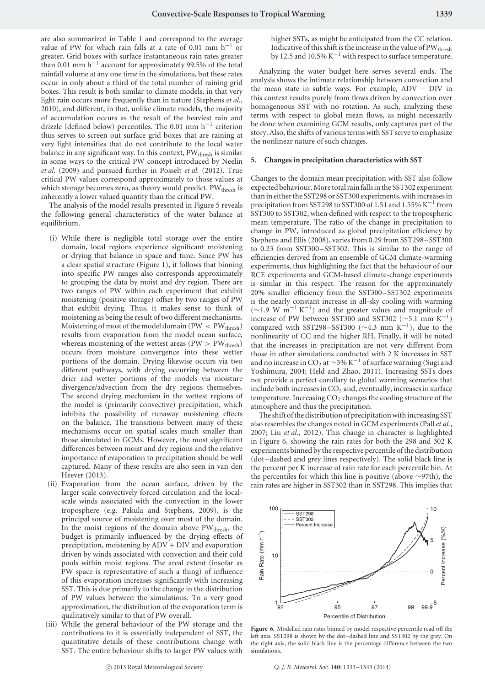are also summarized in Table 1 and correspond to the average value of PW for which rain falls at a rate of 0.01 mm  $h^{-1}$  or greater. Grid boxes with surface instantaneous rain rates greater than 0.01 mm  $h^{-1}$  account for approximately 99.5% of the total rainfall volume at any one time in the simulations, but these rates occur in only about a third of the total number of raining grid boxes. This result is both similar to climate models, in that very light rain occurs more frequently than in nature (Stephens *et al.*, 2010), and different, in that, unlike climate models, the majority of accumulation occurs as the result of the heaviest rain and drizzle (defined below) percentiles. The 0.01 mm h−<sup>1</sup> criterion thus serves to screen out surface grid boxes that are raining at very light intensities that do not contribute to the local water balance in any significant way. In this context,  $PW<sub>thresh</sub>$  is similar in some ways to the critical PW concept introduced by Neelin *et al.* (2009) and pursued further in Posselt *et al.* (2012). True critical PW values correspond approximately to those values at which storage becomes zero, as theory would predict. PW<sub>thresh</sub> is inherently a lower valued quantity than the critical PW.

The analysis of the model results presented in Figure 5 reveals the following general characteristics of the water balance at equilibrium.

- (i) While there is negligible total storage over the entire domain, local regions experience significant moistening or drying that balance in space and time. Since PW has a clear spatial structure (Figure 1), it follows that binning into specific PW ranges also corresponds approximately to grouping the data by moist and dry region. There are two ranges of PW within each experiment that exhibit moistening (positive storage) offset by two ranges of PW that exhibit drying. Thus, it makes sense to think of moistening as being the result of two different mechanisms. Moistening of most of the model domain ( $PW < PW$ <sub>thresh</sub>) results from evaporation from the model ocean surface, whereas moistening of the wettest areas (PW > PW<sub>thresh</sub>) occurs from moisture convergence into these wetter portions of the domain. Drying likewise occurs via two different pathways, with drying occurring between the drier and wetter portions of the models via moisture divergence/advection from the dry regions themselves. The second drying mechanism in the wettest regions of the model is (primarily convective) precipitation, which inhibits the possibility of runaway moistening effects on the balance. The transitions between many of these mechanisms occur on spatial scales much smaller than those simulated in GCMs. However, the most significant differences between moist and dry regions and the relative importance of evaporation to precipitation should be well captured. Many of these results are also seen in van den Heever (2013).
- (ii) Evaporation from the ocean surface, driven by the larger scale convectively forced circulation and the localscale winds associated with the convection in the lower troposphere (e.g. Pakula and Stephens, 2009), is the principal source of moistening over most of the domain. In the moist regions of the domain above  $PW<sub>thresh</sub>$ , the budget is primarily influenced by the drying effects of precipitation, moistening by ADV + DIV and evaporation driven by winds associated with convection and their cold pools within moist regions. The areal extent (insofar as PW space is representative of such a thing) of influence of this evaporation increases significantly with increasing SST. This is due primarily to the change in the distribution of PW values between the simulations. To a very good approximation, the distribution of the evaporation term is qualitatively similar to that of PW overall.
- (iii) While the general behaviour of the PW storage and the contributions to it is essentially independent of SST, the quantitative details of these contributions change with SST. The entire behaviour shifts to larger PW values with

higher SSTs, as might be anticipated from the CC relation. Indicative of this shift is the increase in the value of PW<sub>thresh</sub> by 12.5 and 10.5% K−<sup>1</sup> with respect to surface temperature.

Analyzing the water budget here serves several ends. The analysis shows the intimate relationship between convection and the mean state in subtle ways. For example,  $ADV + DIV$  in this context results purely from flows driven by convection over homogeneous SST with no rotation. As such, analyzing these terms with respect to global mean flows, as might necessarily be done when examining GCM results, only captures part of the story. Also, the shifts of various terms with SST serve to emphasize the nonlinear nature of such changes.

## **5. Changes in precipitation characteristics with SST**

Changes to the domain mean precipitation with SST also follow expected behaviour. More total rain falls in the SST302 experiment than in either the SST298 or SST300 experiments, with increases in precipitation from SST298 to SST300 of 1.51 and 1.55%  $\rm K^{-1}$  from SST300 to SST302, when defined with respect to the tropospheric mean temperature. The ratio of the change in precipitation to change in PW, introduced as global precipitation efficiency by Stephens and Ellis (2008), varies from 0.29 from SST298–SST300 to 0.23 from SST300–SST302. This is similar to the range of efficiencies derived from an ensemble of GCM climate-warming experiments, thus highlighting the fact that the behaviour of our RCE experiments and GCM-based climate-change experiments is similar in this respect. The reason for the approximately 20% smaller efficiency from the SST300–SST302 experiments is the nearly constant increase in all-sky cooling with warming (∼1.9 W m−<sup>1</sup> <sup>K</sup>−1) and the greater values and magnitude of increase of PW between SST300 and SST302 ( $\sim$ 5.1 mm K<sup>-1</sup>) compared with SST298–SST300 ( $\sim$ 4.3 mm K<sup>-1</sup>), due to the nonlinearity of CC and the higher RH. Finally, it will be noted that the increases in precipitation are not very different from those in other simulations conducted with 2 K increases in SST and no increase in CO<sub>2</sub> at  $\sim$ 3% K<sup>-1</sup> of surface warming (Sugi and Yoshimura, 2004; Held and Zhao, 2011). Increasing SSTs does not provide a perfect corollary to global warming scenarios that include both increases in  $CO<sub>2</sub>$  and, eventually, increases in surface temperature. Increasing  $CO<sub>2</sub>$  changes the cooling structure of the atmosphere and thus the precipitation.

The shift of the distribution of precipitation with increasing SST also resembles the changes noted in GCM experiments (Pall*et al.*, 2007; Liu *et al.*, 2012). This change in character is highlighted in Figure 6, showing the rain rates for both the 298 and 302 K experiments binned by the respective percentile of the distribution (dot–dashed and grey lines respectively). The solid black line is the percent per K increase of rain rate for each percentile bin. At the percentiles for which this line is positive (above ∼97th), the rain rates are higher in SST302 than in SST298. This implies that



**Figure 6.** Modelled rain rates binned by model respective percentile read off the left axis. SST298 is shown by the dot–dashed line and SST302 by the grey. On the right axis, the solid black line is the percentage difference between the two simulations.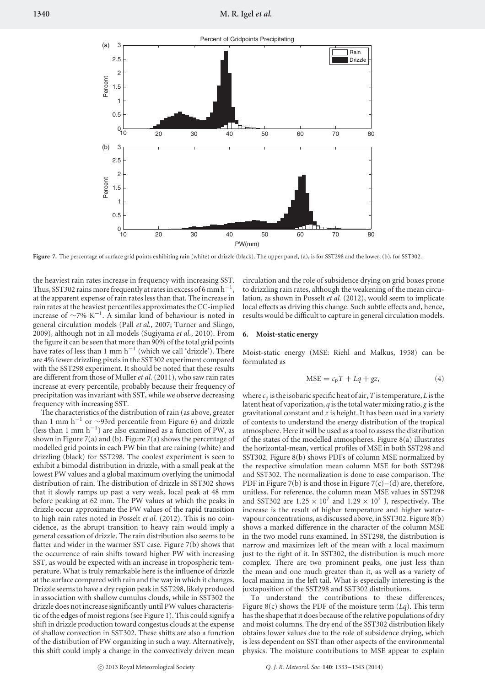

**Figure 7.** The percentage of surface grid points exhibiting rain (white) or drizzle (black). The upper panel, (a), is for SST298 and the lower, (b), for SST302.

the heaviest rain rates increase in frequency with increasing SST. Thus, SST302 rains more frequently at rates in excess of 6 mm  $h^{-1}$ , at the apparent expense of rain rates less than that. The increase in rain rates at the heaviest percentiles approximates the CC-implied increase of <sup>∼</sup>7% K−1. A similar kind of behaviour is noted in general circulation models (Pall *et al.*, 2007; Turner and Slingo, 2009), although not in all models (Sugiyama *et al.*, 2010). From the figure it can be seen that more than 90% of the total grid points have rates of less than 1 mm h−<sup>1</sup> (which we call 'drizzle'). There are 4% fewer drizzling pixels in the SST302 experiment compared with the SST298 experiment. It should be noted that these results are different from those of Muller*et al.* (2011), who saw rain rates increase at every percentile, probably because their frequency of precipitation was invariant with SST, while we observe decreasing frequency with increasing SST.

The characteristics of the distribution of rain (as above, greater than 1 mm h−<sup>1</sup> or <sup>∼</sup>93rd percentile from Figure 6) and drizzle (less than 1 mm  $h^{-1}$ ) are also examined as a function of PW, as shown in Figure 7(a) and (b). Figure 7(a) shows the percentage of modelled grid points in each PW bin that are raining (white) and drizzling (black) for SST298. The coolest experiment is seen to exhibit a bimodal distribution in drizzle, with a small peak at the lowest PW values and a global maximum overlying the unimodal distribution of rain. The distribution of drizzle in SST302 shows that it slowly ramps up past a very weak, local peak at 48 mm before peaking at 62 mm. The PW values at which the peaks in drizzle occur approximate the PW values of the rapid transition to high rain rates noted in Posselt *et al.* (2012). This is no coincidence, as the abrupt transition to heavy rain would imply a general cessation of drizzle. The rain distribution also seems to be flatter and wider in the warmer SST case. Figure 7(b) shows that the occurrence of rain shifts toward higher PW with increasing SST, as would be expected with an increase in tropospheric temperature. What is truly remarkable here is the influence of drizzle at the surface compared with rain and the way in which it changes. Drizzle seems to have a dry region peak in SST298, likely produced in association with shallow cumulus clouds, while in SST302 the drizzle does not increase significantly until PW values characteristic of the edges of moist regions (see Figure 1). This could signify a shift in drizzle production toward congestus clouds at the expense of shallow convection in SST302. These shifts are also a function of the distribution of PW organizing in such a way. Alternatively, this shift could imply a change in the convectively driven mean

circulation and the role of subsidence drying on grid boxes prone to drizzling rain rates, although the weakening of the mean circulation, as shown in Posselt *et al.* (2012), would seem to implicate local effects as driving this change. Such subtle effects and, hence, results would be difficult to capture in general circulation models.

## **6. Moist-static energy**

Moist-static energy (MSE: Riehl and Malkus, 1958) can be formulated as

$$
MSE = cpT + Lq + gz,
$$
\n(4)

where  $c_p$  is the isobaric specific heat of air, *T* is temperature, *L* is the latent heat of vaporization, *q* is the total water mixing ratio, *g* is the gravitational constant and *z* is height. It has been used in a variety of contexts to understand the energy distribution of the tropical atmosphere. Here it will be used as a tool to assess the distribution of the states of the modelled atmospheres. Figure 8(a) illustrates the horizontal-mean, vertical profiles of MSE in both SST298 and SST302. Figure 8(b) shows PDFs of column MSE normalized by the respective simulation mean column MSE for both SST298 and SST302. The normalization is done to ease comparison. The PDF in Figure 7(b) is and those in Figure 7(c)–(d) are, therefore, unitless. For reference, the column mean MSE values in SST298 and SST302 are  $1.25 \times 10^7$  and  $1.29 \times 10^7$  J, respectively. The increase is the result of higher temperature and higher watervapour concentrations, as discussed above, in SST302. Figure 8(b) shows a marked difference in the character of the column MSE in the two model runs examined. In SST298, the distribution is narrow and maximizes left of the mean with a local maximum just to the right of it. In SST302, the distribution is much more complex. There are two prominent peaks, one just less than the mean and one much greater than it, as well as a variety of local maxima in the left tail. What is especially interesting is the juxtaposition of the SST298 and SST302 distributions.

To understand the contributions to these differences, Figure 8(c) shows the PDF of the moisture term (*Lq*). This term has the shape that it does because of the relative populations of dry and moist columns. The dry end of the SST302 distribution likely obtains lower values due to the role of subsidence drying, which is less dependent on SST than other aspects of the environmental physics. The moisture contributions to MSE appear to explain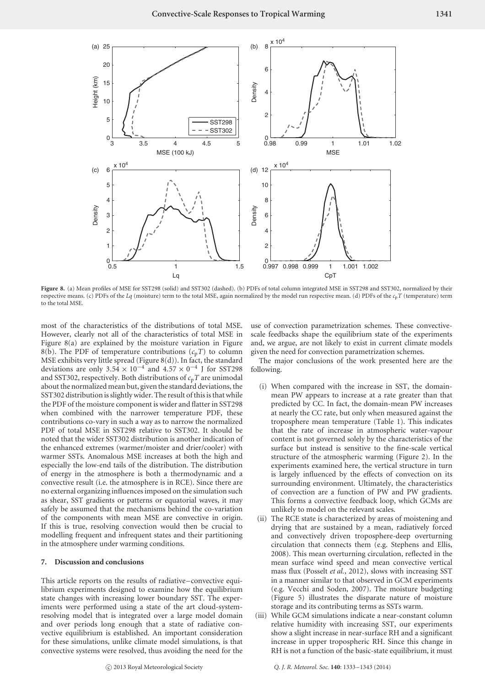

**Figure 8.** (a) Mean profiles of MSE for SST298 (solid) and SST302 (dashed). (b) PDFs of total column integrated MSE in SST298 and SST302, normalized by their respective means. (c) PDFs of the *Lq* (moisture) term to the total MSE, again normalized by the model run respective mean. (d) PDFs of the *c*p*T* (temperature) term to the total MSE.

most of the characteristics of the distributions of total MSE. However, clearly not all of the characteristics of total MSE in Figure 8(a) are explained by the moisture variation in Figure 8(b). The PDF of temperature contributions  $(c_pT)$  to column MSE exhibits very little spread (Figure 8(d)). In fact, the standard deviations are only  $3.54 \times 10^{-4}$  and  $4.57 \times 0^{-4}$  J for SST298 and SST302, respectively. Both distributions of  $c_pT$  are unimodal about the normalized mean but, given the standard deviations, the SST302 distribution is slightly wider. The result of this is that while the PDF of the moisture component is wider and flatter in SST298 when combined with the narrower temperature PDF, these contributions co-vary in such a way as to narrow the normalized PDF of total MSE in SST298 relative to SST302. It should be noted that the wider SST302 distribution is another indication of the enhanced extremes (warmer/moister and drier/cooler) with warmer SSTs. Anomalous MSE increases at both the high and especially the low-end tails of the distribution. The distribution of energy in the atmosphere is both a thermodynamic and a convective result (i.e. the atmosphere is in RCE). Since there are no external organizing influences imposed on the simulation such as shear, SST gradients or patterns or equatorial waves, it may safely be assumed that the mechanisms behind the co-variation of the components with mean MSE are convective in origin. If this is true, resolving convection would then be crucial to modelling frequent and infrequent states and their partitioning in the atmosphere under warming conditions.

# **7. Discussion and conclusions**

This article reports on the results of radiative–convective equilibrium experiments designed to examine how the equilibrium state changes with increasing lower boundary SST. The experiments were performed using a state of the art cloud-systemresolving model that is integrated over a large model domain and over periods long enough that a state of radiative convective equilibrium is established. An important consideration for these simulations, unlike climate model simulations, is that convective systems were resolved, thus avoiding the need for the use of convection parametrization schemes. These convectivescale feedbacks shape the equilibrium state of the experiments and, we argue, are not likely to exist in current climate models given the need for convection parametrization schemes.

The major conclusions of the work presented here are the following.

- (i) When compared with the increase in SST, the domainmean PW appears to increase at a rate greater than that predicted by CC. In fact, the domain-mean PW increases at nearly the CC rate, but only when measured against the troposphere mean temperature (Table 1). This indicates that the rate of increase in atmospheric water-vapour content is not governed solely by the characteristics of the surface but instead is sensitive to the fine-scale vertical structure of the atmospheric warming (Figure 2). In the experiments examined here, the vertical structure in turn is largely influenced by the effects of convection on its surrounding environment. Ultimately, the characteristics of convection are a function of PW and PW gradients. This forms a convective feedback loop, which GCMs are unlikely to model on the relevant scales.
- (ii) The RCE state is characterized by areas of moistening and drying that are sustained by a mean, radiatively forced and convectively driven troposphere-deep overturning circulation that connects them (e.g. Stephens and Ellis, 2008). This mean overturning circulation, reflected in the mean surface wind speed and mean convective vertical mass flux (Posselt *et al.*, 2012), slows with increasing SST in a manner similar to that observed in GCM experiments (e.g. Vecchi and Soden, 2007). The moisture budgeting (Figure 5) illustrates the disparate nature of moisture storage and its contributing terms as SSTs warm.
- (iii) While GCM simulations indicate a near-constant column relative humidity with increasing SST, our experiments show a slight increase in near-surface RH and a significant increase in upper tropospheric RH. Since this change in RH is not a function of the basic-state equilibrium, it must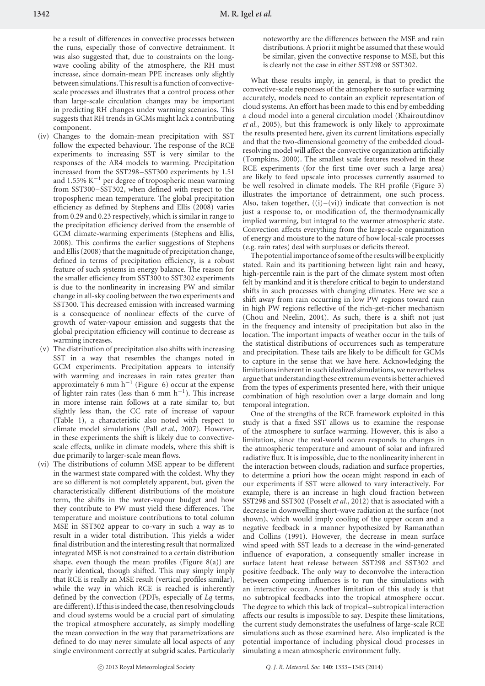be a result of differences in convective processes between the runs, especially those of convective detrainment. It was also suggested that, due to constraints on the longwave cooling ability of the atmosphere, the RH must increase, since domain-mean PPE increases only slightly between simulations. This result is a function of convectivescale processes and illustrates that a control process other than large-scale circulation changes may be important in predicting RH changes under warming scenarios. This suggests that RH trends in GCMs might lack a contributing component.

- (iv) Changes to the domain-mean precipitation with SST follow the expected behaviour. The response of the RCE experiments to increasing SST is very similar to the responses of the AR4 models to warming. Precipitation increased from the SST298–SST300 experiments by 1.51 and 1.55%  $K^{-1}$  per degree of tropospheric mean warming from SST300–SST302, when defined with respect to the tropospheric mean temperature. The global precipitation efficiency as defined by Stephens and Ellis (2008) varies from 0.29 and 0.23 respectively, which is similar in range to the precipitation efficiency derived from the ensemble of GCM climate-warming experiments (Stephens and Ellis, 2008). This confirms the earlier suggestions of Stephens and Ellis (2008) that the magnitude of precipitation change, defined in terms of precipitation efficiency, is a robust feature of such systems in energy balance. The reason for the smaller efficiency from SST300 to SST302 experiments is due to the nonlinearity in increasing PW and similar change in all-sky cooling between the two experiments and SST300. This decreased emission with increased warming is a consequence of nonlinear effects of the curve of growth of water-vapour emission and suggests that the global precipitation efficiency will continue to decrease as warming increases.
- (v) The distribution of precipitation also shifts with increasing SST in a way that resembles the changes noted in GCM experiments. Precipitation appears to intensify with warming and increases in rain rates greater than approximately 6 mm  $h^{-1}$  (Figure 6) occur at the expense of lighter rain rates (less than 6 mm h−1). This increase in more intense rain follows at a rate similar to, but slightly less than, the CC rate of increase of vapour (Table 1), a characteristic also noted with respect to climate model simulations (Pall *et al.*, 2007). However, in these experiments the shift is likely due to convectivescale effects, unlike in climate models, where this shift is due primarily to larger-scale mean flows.
- (vi) The distributions of column MSE appear to be different in the warmest state compared with the coldest. Why they are so different is not completely apparent, but, given the characteristically different distributions of the moisture term, the shifts in the water-vapour budget and how they contribute to PW must yield these differences. The temperature and moisture contributions to total column MSE in SST302 appear to co-vary in such a way as to result in a wider total distribution. This yields a wider final distribution and the interesting result that normalized integrated MSE is not constrained to a certain distribution shape, even though the mean profiles (Figure  $8(a)$ ) are nearly identical, though shifted. This may simply imply that RCE is really an MSE result (vertical profiles similar), while the way in which RCE is reached is inherently defined by the convection (PDFs, especially of *Lq* terms, are different). If this is indeed the case, then resolving clouds and cloud systems would be a crucial part of simulating the tropical atmosphere accurately, as simply modelling the mean convection in the way that parametrizations are defined to do may never simulate all local aspects of any single environment correctly at subgrid scales. Particularly

noteworthy are the differences between the MSE and rain distributions. A priori it might be assumed that these would be similar, given the convective response to MSE, but this is clearly not the case in either SST298 or SST302.

What these results imply, in general, is that to predict the convective-scale responses of the atmosphere to surface warming accurately, models need to contain an explicit representation of cloud systems. An effort has been made to this end by embedding a cloud model into a general circulation model (Khairoutdinov *et al.*, 2005), but this framework is only likely to approximate the results presented here, given its current limitations especially and that the two-dimensional geometry of the embedded cloudresolving model will affect the convective organization artificially (Tompkins, 2000). The smallest scale features resolved in these RCE experiments (for the first time over such a large area) are likely to feed upscale into processes currently assumed to be well resolved in climate models. The RH profile (Figure 3) illustrates the importance of detrainment, one such process. Also, taken together,  $((i) - (vi))$  indicate that convection is not just a response to, or modification of, the thermodynamically implied warming, but integral to the warmer atmospheric state. Convection affects everything from the large-scale organization of energy and moisture to the nature of how local-scale processes (e.g. rain rates) deal with surpluses or deficits thereof.

The potential importance of some of the results will be explicitly stated. Rain and its partitioning between light rain and heavy, high-percentile rain is the part of the climate system most often felt by mankind and it is therefore critical to begin to understand shifts in such processes with changing climates. Here we see a shift away from rain occurring in low PW regions toward rain in high PW regions reflective of the rich-get-richer mechanism (Chou and Neelin, 2004). As such, there is a shift not just in the frequency and intensity of precipitation but also in the location. The important impacts of weather occur in the tails of the statistical distributions of occurrences such as temperature and precipitation. These tails are likely to be difficult for GCMs to capture in the sense that we have here. Acknowledging the limitations inherent in such idealized simulations, we nevertheless argue that understanding these extremum events is better achieved from the types of experiments presented here, with their unique combination of high resolution over a large domain and long temporal integration.

One of the strengths of the RCE framework exploited in this study is that a fixed SST allows us to examine the response of the atmosphere to surface warming. However, this is also a limitation, since the real-world ocean responds to changes in the atmospheric temperature and amount of solar and infrared radiative flux. It is impossible, due to the nonlinearity inherent in the interaction between clouds, radiation and surface properties, to determine a priori how the ocean might respond in each of our experiments if SST were allowed to vary interactively. For example, there is an increase in high cloud fraction between SST298 and SST302 (Posselt *et al.*, 2012) that is associated with a decrease in downwelling short-wave radiation at the surface (not shown), which would imply cooling of the upper ocean and a negative feedback in a manner hypothesized by Ramanathan and Collins (1991). However, the decrease in mean surface wind speed with SST leads to a decrease in the wind-generated influence of evaporation, a consequently smaller increase in surface latent heat release between SST298 and SST302 and positive feedback. The only way to deconvolve the interaction between competing influences is to run the simulations with an interactive ocean. Another limitation of this study is that no subtropical feedbacks into the tropical atmosphere occur. The degree to which this lack of tropical–subtropical interaction affects our results is impossible to say. Despite these limitations, the current study demonstrates the usefulness of large-scale RCE simulations such as those examined here. Also implicated is the potential importance of including physical cloud processes in simulating a mean atmospheric environment fully.